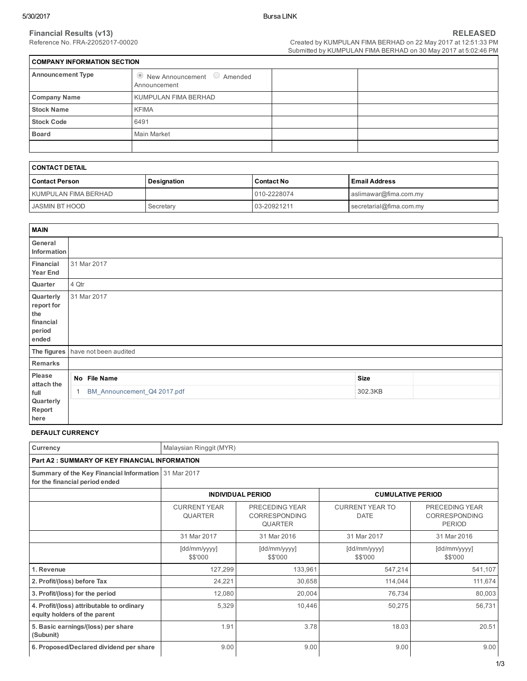Created by KUMPULAN FIMA BERHAD on 22 May 2017 at 12:51:33 PM Submitted by KUMPULAN FIMA BERHAD on 30 May 2017 at 5:02:46 PM

| <b>COMPANY INFORMATION SECTION</b> |                                                            |  |  |  |  |  |
|------------------------------------|------------------------------------------------------------|--|--|--|--|--|
| <b>Announcement Type</b>           | $\bullet$ New Announcement $\circ$ Amended<br>Announcement |  |  |  |  |  |
| <b>Company Name</b>                | KUMPULAN FIMA BERHAD                                       |  |  |  |  |  |
| <b>Stock Name</b>                  | <b>KFIMA</b>                                               |  |  |  |  |  |
| <b>Stock Code</b>                  | 6491                                                       |  |  |  |  |  |
| <b>Board</b>                       | Main Market                                                |  |  |  |  |  |
|                                    |                                                            |  |  |  |  |  |

| I CONTACT DETAIL     |             |                   |                         |  |  |
|----------------------|-------------|-------------------|-------------------------|--|--|
| l Contact Person     | Designation | <b>Contact No</b> | l Email Address         |  |  |
| KUMPULAN FIMA BERHAD |             | 010-2228074       | aslimawar@fima.com.my   |  |  |
| JASMIN BT HOOD       | Secretary   | 03-20921211       | secretarial@fima.com.my |  |  |

| <b>MAIN</b>                                                    |                                   |             |  |
|----------------------------------------------------------------|-----------------------------------|-------------|--|
| General<br>Information                                         |                                   |             |  |
| Financial<br><b>Year End</b>                                   | 31 Mar 2017                       |             |  |
| Quarter                                                        | 4 Qtr                             |             |  |
| Quarterly<br>report for<br>the<br>financial<br>period<br>ended | 31 Mar 2017                       |             |  |
|                                                                | The figures have not been audited |             |  |
| Remarks                                                        |                                   |             |  |
| Please<br>attach the                                           | No File Name                      | <b>Size</b> |  |
| full<br>Quarterly<br>Report                                    | BM_Announcement_Q4 2017.pdf       | 302.3KB     |  |
| here                                                           |                                   |             |  |

#### DEFAULT CURRENCY

| Currency                                                                               | Malaysian Ringgit (MYR)               |                                                   |                                       |                                                  |  |  |  |
|----------------------------------------------------------------------------------------|---------------------------------------|---------------------------------------------------|---------------------------------------|--------------------------------------------------|--|--|--|
| <b>Part A2: SUMMARY OF KEY FINANCIAL INFORMATION</b>                                   |                                       |                                                   |                                       |                                                  |  |  |  |
| Summary of the Key Financial Information 31 Mar 2017<br>for the financial period ended |                                       |                                                   |                                       |                                                  |  |  |  |
|                                                                                        |                                       | <b>INDIVIDUAL PERIOD</b>                          | <b>CUMULATIVE PERIOD</b>              |                                                  |  |  |  |
|                                                                                        | <b>CURRENT YEAR</b><br><b>QUARTER</b> | PRECEDING YEAR<br>CORRESPONDING<br><b>QUARTER</b> | <b>CURRENT YEAR TO</b><br><b>DATE</b> | PRECEDING YEAR<br>CORRESPONDING<br><b>PERIOD</b> |  |  |  |
|                                                                                        | 31 Mar 2017                           | 31 Mar 2016                                       | 31 Mar 2017                           | 31 Mar 2016                                      |  |  |  |
|                                                                                        | [dd/mm/yyyy]<br>\$\$'000              | [dd/mm/yyyy]<br>\$\$'000                          | [dd/mm/yyyy]<br>\$\$'000              | [dd/mm/yyyy]<br>\$\$'000                         |  |  |  |
| 1. Revenue                                                                             | 127,299                               | 133,961                                           | 547,214                               | 541,107                                          |  |  |  |
| 2. Profit/(loss) before Tax                                                            | 24,221                                | 30,658                                            | 114,044                               | 111,674                                          |  |  |  |
| 3. Profit/(loss) for the period                                                        | 12,080                                | 20,004                                            | 76,734                                | 80,003                                           |  |  |  |
| 4. Profit/(loss) attributable to ordinary<br>equity holders of the parent              | 5,329                                 | 10,446                                            | 50,275                                | 56,731                                           |  |  |  |
| 5. Basic earnings/(loss) per share<br>(Subunit)                                        | 1.91                                  | 3.78                                              | 18.03                                 | 20.51                                            |  |  |  |
| 6. Proposed/Declared dividend per share                                                | 9.00                                  | 9.00                                              | 9.00                                  | 9.00                                             |  |  |  |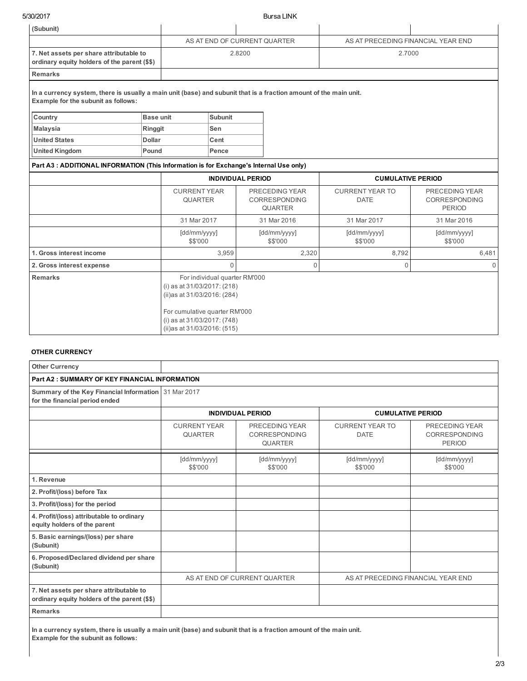5/30/2017 Bursa LINK

| (Subunit)                                                                                                                                                |               |                                                                                                                                                             |                |        |                                                          |                                                      |                                                         |  |
|----------------------------------------------------------------------------------------------------------------------------------------------------------|---------------|-------------------------------------------------------------------------------------------------------------------------------------------------------------|----------------|--------|----------------------------------------------------------|------------------------------------------------------|---------------------------------------------------------|--|
|                                                                                                                                                          |               | AS AT END OF CURRENT QUARTER                                                                                                                                |                |        |                                                          | AS AT PRECEDING FINANCIAL YEAR END                   |                                                         |  |
| 7. Net assets per share attributable to<br>ordinary equity holders of the parent (\$\$)                                                                  |               |                                                                                                                                                             |                | 2.8200 |                                                          | 2.7000                                               |                                                         |  |
| <b>Remarks</b>                                                                                                                                           |               |                                                                                                                                                             |                |        |                                                          |                                                      |                                                         |  |
| In a currency system, there is usually a main unit (base) and subunit that is a fraction amount of the main unit.<br>Example for the subunit as follows: |               |                                                                                                                                                             |                |        |                                                          |                                                      |                                                         |  |
| Country                                                                                                                                                  | Base unit     |                                                                                                                                                             | <b>Subunit</b> |        |                                                          |                                                      |                                                         |  |
| <b>Malaysia</b>                                                                                                                                          | Ringgit       |                                                                                                                                                             | Sen            |        |                                                          |                                                      |                                                         |  |
| <b>United States</b>                                                                                                                                     | <b>Dollar</b> |                                                                                                                                                             | Cent           |        |                                                          |                                                      |                                                         |  |
| <b>United Kingdom</b>                                                                                                                                    | Pound         |                                                                                                                                                             | Pence          |        |                                                          |                                                      |                                                         |  |
| Part A3 : ADDITIONAL INFORMATION (This Information is for Exchange's Internal Use only)                                                                  |               |                                                                                                                                                             |                |        |                                                          |                                                      |                                                         |  |
|                                                                                                                                                          |               | <b>INDIVIDUAL PERIOD</b>                                                                                                                                    |                |        |                                                          | <b>CUMULATIVE PERIOD</b>                             |                                                         |  |
|                                                                                                                                                          |               | <b>CURRENT YEAR</b><br><b>QUARTER</b>                                                                                                                       |                |        | PRECEDING YEAR<br><b>CORRESPONDING</b><br><b>QUARTER</b> | <b>CURRENT YEAR TO</b><br><b>DATE</b>                | PRECEDING YEAR<br><b>CORRESPONDING</b><br><b>PERIOD</b> |  |
|                                                                                                                                                          |               | 31 Mar 2017                                                                                                                                                 |                |        | 31 Mar 2016                                              | 31 Mar 2017                                          | 31 Mar 2016                                             |  |
|                                                                                                                                                          |               | [dd/mm/yyyy]<br>\$\$'000                                                                                                                                    |                |        | [dd/mm/yyyy]<br>\$\$'000                                 | [dd/mm/yyyy]<br>[dd/mm/yyyy]<br>\$\$'000<br>\$\$'000 |                                                         |  |
| 1. Gross interest income                                                                                                                                 |               |                                                                                                                                                             | 3,959          |        | 2,320                                                    | 8,792                                                | 6,481                                                   |  |
| 2. Gross interest expense                                                                                                                                |               |                                                                                                                                                             | $\Omega$       |        | $\Omega$                                                 | $\Omega$                                             | $\Omega$                                                |  |
| <b>Remarks</b>                                                                                                                                           |               | For individual quarter RM'000<br>(i) as at 31/03/2017: (218)<br>(ii)as at 31/03/2016: (284)<br>For cumulative quarter RM'000<br>(i) as at 31/03/2017: (748) |                |        |                                                          |                                                      |                                                         |  |
|                                                                                                                                                          |               | (ii)as at 31/03/2016: (515)                                                                                                                                 |                |        |                                                          |                                                      |                                                         |  |

#### OTHER CURRENCY

| <b>Other Currency</b>                                                                   |                                       |                                                          |                                       |                                                         |
|-----------------------------------------------------------------------------------------|---------------------------------------|----------------------------------------------------------|---------------------------------------|---------------------------------------------------------|
| <b>Part A2: SUMMARY OF KEY FINANCIAL INFORMATION</b>                                    |                                       |                                                          |                                       |                                                         |
| Summary of the Key Financial Information 31 Mar 2017<br>for the financial period ended  |                                       |                                                          |                                       |                                                         |
|                                                                                         |                                       | <b>INDIVIDUAL PERIOD</b>                                 | <b>CUMULATIVE PERIOD</b>              |                                                         |
|                                                                                         | <b>CURRENT YEAR</b><br><b>QUARTER</b> | PRECEDING YEAR<br><b>CORRESPONDING</b><br><b>QUARTER</b> | <b>CURRENT YEAR TO</b><br><b>DATE</b> | PRECEDING YEAR<br><b>CORRESPONDING</b><br><b>PERIOD</b> |
|                                                                                         | [dd/mm/yyyy]<br>\$\$'000              | [dd/mm/yyyy]<br>\$\$'000                                 | [dd/mm/yyyy]<br>\$\$'000              | [dd/mm/yyyy]<br>\$\$'000                                |
| 1. Revenue                                                                              |                                       |                                                          |                                       |                                                         |
| 2. Profit/(loss) before Tax                                                             |                                       |                                                          |                                       |                                                         |
| 3. Profit/(loss) for the period                                                         |                                       |                                                          |                                       |                                                         |
| 4. Profit/(loss) attributable to ordinary<br>equity holders of the parent               |                                       |                                                          |                                       |                                                         |
| 5. Basic earnings/(loss) per share<br>(Subunit)                                         |                                       |                                                          |                                       |                                                         |
| 6. Proposed/Declared dividend per share<br>(Subunit)                                    |                                       |                                                          |                                       |                                                         |
|                                                                                         |                                       | AS AT END OF CURRENT QUARTER                             | AS AT PRECEDING FINANCIAL YEAR END    |                                                         |
| 7. Net assets per share attributable to<br>ordinary equity holders of the parent (\$\$) |                                       |                                                          |                                       |                                                         |
| <b>Remarks</b>                                                                          |                                       |                                                          |                                       |                                                         |

In a currency system, there is usually a main unit (base) and subunit that is a fraction amount of the main unit. Example for the subunit as follows: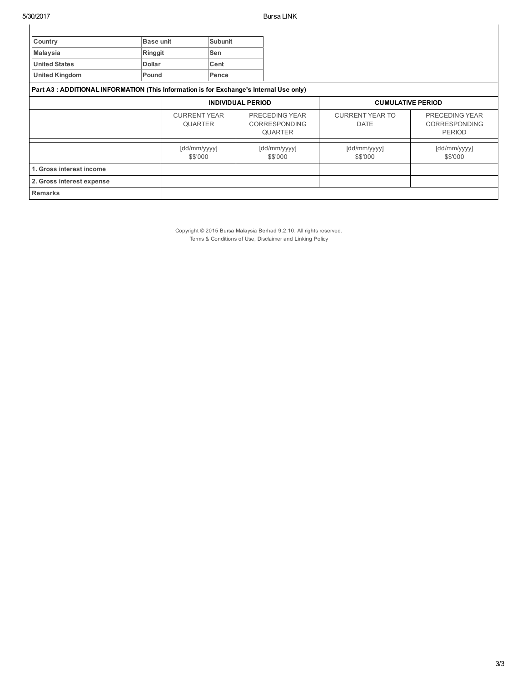| Country                                                                                |               | <b>Base unit</b><br><b>Subunit</b>    |       |                                                   |                                       |                                                         |
|----------------------------------------------------------------------------------------|---------------|---------------------------------------|-------|---------------------------------------------------|---------------------------------------|---------------------------------------------------------|
| <b>Malaysia</b>                                                                        | Ringgit       |                                       | Sen   |                                                   |                                       |                                                         |
| <b>United States</b>                                                                   | <b>Dollar</b> |                                       | Cent  |                                                   |                                       |                                                         |
| <b>United Kingdom</b>                                                                  | Pound         |                                       | Pence |                                                   |                                       |                                                         |
| Part A3: ADDITIONAL INFORMATION (This Information is for Exchange's Internal Use only) |               |                                       |       |                                                   |                                       |                                                         |
|                                                                                        |               | <b>INDIVIDUAL PERIOD</b>              |       |                                                   | <b>CUMULATIVE PERIOD</b>              |                                                         |
|                                                                                        |               | <b>CURRENT YEAR</b><br><b>QUARTER</b> |       | PRECEDING YEAR<br>CORRESPONDING<br><b>QUARTER</b> | <b>CURRENT YEAR TO</b><br><b>DATE</b> | PRECEDING YEAR<br><b>CORRESPONDING</b><br><b>PERIOD</b> |
|                                                                                        |               | [dd/mm/yyyy]<br>\$\$'000              |       | [dd/mm/yyyy]<br>\$\$'000                          | [dd/mm/yyyy]<br>\$\$'000              | [dd/mm/yyyy]<br>\$\$'000                                |
| 1. Gross interest income                                                               |               |                                       |       |                                                   |                                       |                                                         |
| 2. Gross interest expense                                                              |               |                                       |       |                                                   |                                       |                                                         |
| <b>Remarks</b>                                                                         |               |                                       |       |                                                   |                                       |                                                         |

Copyright © 2015 Bursa Malaysia Berhad 9.2.10. All rights reserved. Terms & Conditions of Use, Disclaimer and Linking Policy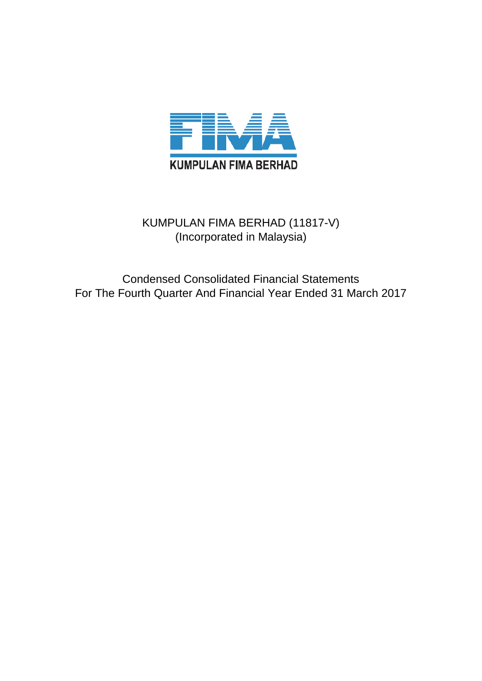

# KUMPULAN FIMA BERHAD (11817-V) (Incorporated in Malaysia)

Condensed Consolidated Financial Statements For The Fourth Quarter And Financial Year Ended 31 March 2017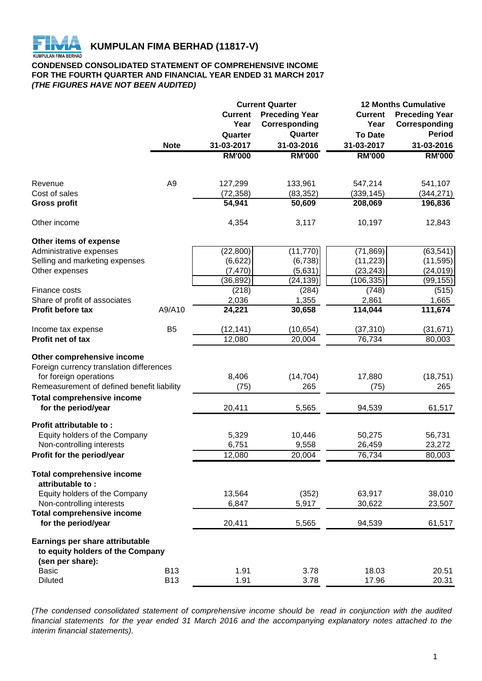

# **CONDENSED CONSOLIDATED STATEMENT OF COMPREHENSIVE INCOME FOR THE FOURTH QUARTER AND FINANCIAL YEAR ENDED 31 MARCH 2017** *(THE FIGURES HAVE NOT BEEN AUDITED)*

|                                                       |                |                | <b>Current Quarter</b> | <b>12 Months Cumulative</b> |                       |  |
|-------------------------------------------------------|----------------|----------------|------------------------|-----------------------------|-----------------------|--|
|                                                       |                | <b>Current</b> | <b>Preceding Year</b>  | <b>Current</b>              | <b>Preceding Year</b> |  |
|                                                       |                | Year           | Corresponding          | Year                        | Corresponding         |  |
|                                                       |                | Quarter        | Quarter                | <b>To Date</b>              | <b>Period</b>         |  |
|                                                       | <b>Note</b>    | 31-03-2017     | 31-03-2016             | 31-03-2017                  | 31-03-2016            |  |
|                                                       |                | <b>RM'000</b>  | <b>RM'000</b>          | <b>RM'000</b>               | <b>RM'000</b>         |  |
|                                                       |                |                |                        |                             |                       |  |
| Revenue                                               | A <sub>9</sub> | 127,299        | 133,961                | 547,214                     | 541,107               |  |
| Cost of sales                                         |                | (72, 358)      | (83, 352)              | (339, 145)                  | (344, 271)            |  |
| <b>Gross profit</b>                                   |                | 54,941         | 50,609                 | 208,069                     | 196,836               |  |
| Other income                                          |                | 4,354          | 3,117                  | 10,197                      | 12,843                |  |
| Other items of expense                                |                |                |                        |                             |                       |  |
| Administrative expenses                               |                | (22, 800)      | (11, 770)              | (71, 869)                   | (63, 541)             |  |
| Selling and marketing expenses                        |                | (6,622)        | (6, 738)               | (11, 223)                   | (11, 595)             |  |
| Other expenses                                        |                | (7, 470)       | (5,631)                | (23, 243)                   | (24, 019)             |  |
|                                                       |                | (36, 892)      | (24, 139)              | (106, 335)                  | (99,155)              |  |
| Finance costs                                         |                | (218)          | (284)                  | (748)                       | (515)                 |  |
| Share of profit of associates                         |                | 2,036          | 1,355                  | 2,861                       | 1,665                 |  |
| <b>Profit before tax</b>                              | A9/A10         | 24,221         | 30,658                 | 114,044                     | 111,674               |  |
| Income tax expense                                    | B <sub>5</sub> | (12, 141)      | (10, 654)              | (37, 310)                   | (31, 671)             |  |
| Profit net of tax                                     |                | 12,080         | 20,004                 | 76,734                      | 80,003                |  |
| Other comprehensive income                            |                |                |                        |                             |                       |  |
| Foreign currency translation differences              |                |                |                        |                             |                       |  |
| for foreign operations                                |                | 8,406          | (14, 704)              | 17,880                      | (18, 751)             |  |
| Remeasurement of defined benefit liability            |                | (75)           | 265                    | (75)                        | 265                   |  |
| <b>Total comprehensive income</b>                     |                |                |                        |                             |                       |  |
| for the period/year                                   |                | 20,411         | 5,565                  | 94,539                      | 61,517                |  |
| Profit attributable to:                               |                |                |                        |                             |                       |  |
| Equity holders of the Company                         |                | 5,329          | 10,446                 | 50,275                      | 56,731                |  |
| Non-controlling interests                             |                | 6,751          | 9,558                  | 26,459                      | 23,272                |  |
| Profit for the period/year                            |                | 12,080         | 20,004                 | 76,734                      | 80,003                |  |
| <b>Total comprehensive income</b><br>attributable to: |                |                |                        |                             |                       |  |
| Equity holders of the Company                         |                | 13,564         | (352)                  | 63,917                      | 38,010                |  |
| Non-controlling interests                             |                | 6,847          | 5,917                  | 30,622                      | 23,507                |  |
| <b>Total comprehensive income</b>                     |                |                |                        |                             |                       |  |
| for the period/year                                   |                | 20,411         | 5,565                  | 94,539                      | 61,517                |  |
| Earnings per share attributable                       |                |                |                        |                             |                       |  |
| to equity holders of the Company                      |                |                |                        |                             |                       |  |
| (sen per share):                                      |                |                |                        |                             |                       |  |
| <b>Basic</b>                                          | <b>B13</b>     | 1.91           | 3.78                   | 18.03                       | 20.51                 |  |
| <b>Diluted</b>                                        | <b>B13</b>     | 1.91           | 3.78                   | 17.96                       | 20.31                 |  |

*(The condensed consolidated statement of comprehensive income should be read in conjunction with the audited* financial statements for the year ended 31 March 2016 and the accompanying explanatory notes attached to the *interim financial statements).*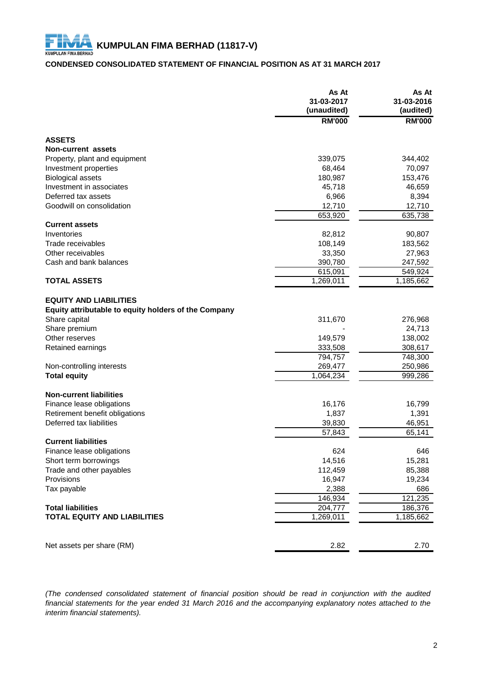# **CONDENSED CONSOLIDATED STATEMENT OF FINANCIAL POSITION AS AT 31 MARCH 2017**

|                                                      | As At<br>31-03-2017<br>(unaudited) | As At<br>31-03-2016<br>(audited) |
|------------------------------------------------------|------------------------------------|----------------------------------|
|                                                      | <b>RM'000</b>                      | <b>RM'000</b>                    |
| <b>ASSETS</b>                                        |                                    |                                  |
| Non-current assets                                   |                                    |                                  |
| Property, plant and equipment                        | 339,075                            | 344,402                          |
| Investment properties                                | 68,464                             | 70,097                           |
| <b>Biological assets</b>                             | 180,987                            | 153,476                          |
| Investment in associates                             | 45,718                             | 46,659                           |
| Deferred tax assets                                  | 6,966                              | 8,394                            |
| Goodwill on consolidation                            | 12,710                             | 12,710                           |
|                                                      | 653,920                            | 635,738                          |
| <b>Current assets</b>                                |                                    |                                  |
| Inventories                                          | 82,812                             | 90,807                           |
| Trade receivables                                    | 108,149                            | 183,562                          |
| Other receivables                                    | 33,350                             | 27,963                           |
| Cash and bank balances                               | 390,780                            | 247,592                          |
|                                                      | 615,091                            | 549,924                          |
| <b>TOTAL ASSETS</b>                                  | 1,269,011                          | 1,185,662                        |
|                                                      |                                    |                                  |
| <b>EQUITY AND LIABILITIES</b>                        |                                    |                                  |
| Equity attributable to equity holders of the Company |                                    |                                  |
| Share capital                                        | 311,670                            | 276,968                          |
| Share premium                                        |                                    | 24,713                           |
| Other reserves                                       | 149,579                            | 138,002                          |
| Retained earnings                                    | 333,508                            | 308,617                          |
|                                                      | 794,757                            | 748,300                          |
| Non-controlling interests                            | 269,477                            | 250,986                          |
| <b>Total equity</b>                                  | 1,064,234                          | 999,286                          |
|                                                      |                                    |                                  |
| <b>Non-current liabilities</b>                       |                                    |                                  |
| Finance lease obligations                            | 16,176                             | 16,799                           |
| Retirement benefit obligations                       | 1,837                              | 1,391                            |
| Deferred tax liabilities                             | 39,830                             | 46,951                           |
|                                                      | 57,843                             | 65,141                           |
| <b>Current liabilities</b>                           |                                    |                                  |
| Finance lease obligations                            | 624                                | 646                              |
| Short term borrowings                                | 14,516                             | 15,281                           |
| Trade and other payables                             | 112,459                            | 85,388                           |
| Provisions                                           | 16,947                             | 19,234                           |
| Tax payable                                          | 2,388                              | 686                              |
|                                                      | 146,934                            | 121,235                          |
| <b>Total liabilities</b>                             | 204,777                            | 186,376                          |
| <b>TOTAL EQUITY AND LIABILITIES</b>                  | 1,269,011                          | 1,185,662                        |
|                                                      |                                    |                                  |
| Net assets per share (RM)                            | 2.82                               | 2.70                             |

*(The condensed consolidated statement of financial position should be read in conjunction with the audited* financial statements for the year ended 31 March 2016 and the accompanying explanatory notes attached to the *interim financial statements).*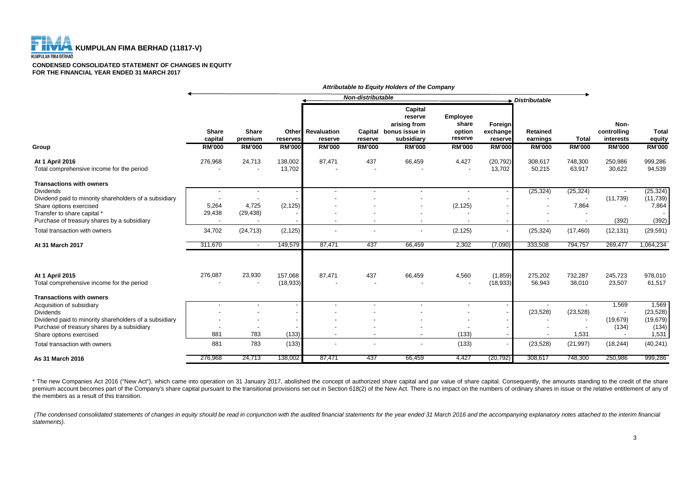F

#### **CONDENSED CONSOLIDATED STATEMENT OF CHANGES IN EQUITY FOR THE FINANCIAL YEAR ENDED 31 MARCH 2017**

|                                                                                                                                                                                                                                                       | Non-distributable<br>Distributable       |                                                |                                    |                                                |                                     |                                                                                     |                                                         |                                                 |                                              |                                 |                                                   |                                                                |
|-------------------------------------------------------------------------------------------------------------------------------------------------------------------------------------------------------------------------------------------------------|------------------------------------------|------------------------------------------------|------------------------------------|------------------------------------------------|-------------------------------------|-------------------------------------------------------------------------------------|---------------------------------------------------------|-------------------------------------------------|----------------------------------------------|---------------------------------|---------------------------------------------------|----------------------------------------------------------------|
| Group                                                                                                                                                                                                                                                 | <b>Share</b><br>capital<br><b>RM'000</b> | <b>Share</b><br>premium<br><b>RM'000</b>       | Other<br>reserves<br><b>RM'000</b> | <b>Revaluation</b><br>reserve<br><b>RM'000</b> | Capital<br>reserve<br><b>RM'000</b> | Capital<br>reserve<br>arising from<br>bonus issue in<br>subsidiary<br><b>RM'000</b> | Employee<br>share<br>option<br>reserve<br><b>RM'000</b> | Foreign<br>exchange<br>reserve<br><b>RM'000</b> | <b>Retained</b><br>earnings<br><b>RM'000</b> | <b>Total</b><br><b>RM'000</b>   | Non-<br>controlling<br>interests<br><b>RM'000</b> | <b>Total</b><br>equity<br><b>RM'000</b>                        |
| At 1 April 2016<br>Total comprehensive income for the period                                                                                                                                                                                          | 276,968                                  | 24,713                                         | 138,002<br>13,702                  | 87,471                                         | 437                                 | 66,459                                                                              | 4,427                                                   | (20, 792)<br>13,702                             | 308,617<br>50,215                            | 748,300<br>63,917               | 250,986<br>30,622                                 | 999,286<br>94,539                                              |
| <b>Transactions with owners</b><br><b>Dividends</b><br>Dividend paid to minority shareholders of a subsidiary<br>Share options exercised<br>Transfer to share capital *<br>Purchase of treasury shares by a subsidiary                                | 5,264<br>29,438                          | $\overline{\phantom{a}}$<br>4,725<br>(29, 438) | (2, 125)                           |                                                |                                     | $\overline{\phantom{a}}$                                                            | $\overline{\phantom{a}}$<br>(2, 125)                    |                                                 | (25, 324)                                    | (25, 324)<br>7,864              | (11, 739)<br>(392)                                | (25, 324)<br>(11, 739)<br>7,864<br>(392)                       |
| Total transaction with owners                                                                                                                                                                                                                         | 34,702                                   | (24, 713)                                      | (2, 125)                           |                                                |                                     |                                                                                     | (2, 125)                                                |                                                 | (25, 324)                                    | (17, 460)                       | (12, 131)                                         | (29, 591)                                                      |
| At 31 March 2017                                                                                                                                                                                                                                      | 311,670                                  | $\overline{\phantom{a}}$                       | 149,579                            | 87,471                                         | 437                                 | 66,459                                                                              | 2,302                                                   | (7,090)                                         | 333,508                                      | 794,757                         | 269,477                                           | 1,064,234                                                      |
| At 1 April 2015<br>Total comprehensive income for the period                                                                                                                                                                                          | 276,087                                  | 23,930                                         | 157,068<br>(18, 933)               | 87,471                                         | 437                                 | 66,459                                                                              | 4,560                                                   | (1,859)<br>(18, 933)                            | 275,202<br>56,943                            | 732,287<br>38,010               | 245,723<br>23,507                                 | 978,010<br>61,517                                              |
| <b>Transactions with owners</b><br>Acquisition of subsidiary<br><b>Dividends</b><br>Dividend paid to minority shareholders of a subsidiary<br>Purchase of treasury shares by a subsidiary<br>Share options exercised<br>Total transaction with owners | 881<br>881                               | $\overline{\phantom{a}}$<br>783<br>783         | (133)<br>(133)                     |                                                |                                     | $\overline{\phantom{a}}$                                                            | $\blacksquare$<br>(133)<br>(133)                        |                                                 | (23, 528)<br>(23, 528)                       | (23, 528)<br>1,531<br>(21, 997) | 1,569<br>(19, 679)<br>(134)<br>(18, 244)          | 1,569<br>(23, 528)<br>(19, 679)<br>(134)<br>1,531<br>(40, 241) |
| As 31 March 2016                                                                                                                                                                                                                                      | 276,968                                  | 24,713                                         | 138,002                            | 87,471                                         | 437                                 | 66,459                                                                              | 4,427                                                   | (20, 792)                                       | 308,617                                      | 748,300                         | 250,986                                           | 999,286                                                        |

*Attributable to Equity Holders of the Company*

\* The new Companies Act 2016 ("New Act"), which came into operation on 31 January 2017, abolished the concept of authorized share capital and par value of share capital. Consequently, the amounts standing to the credit of premium account becomes part of the Company's share capital pursuant to the transitional provisions set out in Section 618(2) of the New Act. There is no impact on the numbers of ordinary shares in issue or the relative en the members as a result of this transition.

(The condensed consolidated statements of changes in equity should be read in conjunction with the audited financial statements for the year ended 31 March 2016 and the accompanying explanatory notes attached to the interi *statements).*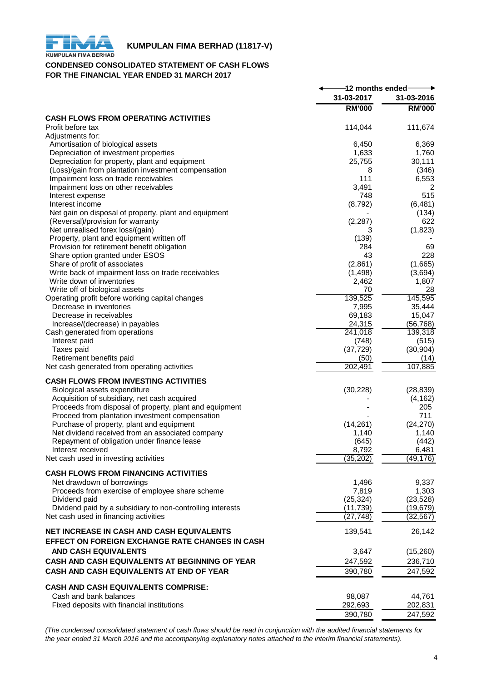

# **KUMPULAN FIMA BERHAD (11817-V)**<br>KUMPULAN FIMA BERHAD

## **CONDENSED CONSOLIDATED STATEMENT OF CASH FLOWS FOR THE FINANCIAL YEAR ENDED 31 MARCH 2017**

|                                                                            | -12 months ended- |                   |  |
|----------------------------------------------------------------------------|-------------------|-------------------|--|
|                                                                            | 31-03-2017        | 31-03-2016        |  |
|                                                                            | <b>RM'000</b>     | <b>RM'000</b>     |  |
| <b>CASH FLOWS FROM OPERATING ACTIVITIES</b>                                |                   |                   |  |
| Profit before tax                                                          | 114,044           | 111,674           |  |
| Adjustments for:                                                           |                   |                   |  |
| Amortisation of biological assets                                          | 6,450             | 6,369             |  |
| Depreciation of investment properties                                      | 1,633             | 1,760             |  |
| Depreciation for property, plant and equipment                             | 25,755            | 30,111            |  |
| (Loss)/gain from plantation investment compensation                        | 8                 | (346)             |  |
| Impairment loss on trade receivables                                       | 111               | 6,553             |  |
| Impairment loss on other receivables<br>Interest expense                   | 3,491<br>748      | 2<br>515          |  |
| Interest income                                                            | (8,792)           | (6, 481)          |  |
| Net gain on disposal of property, plant and equipment                      |                   | (134)             |  |
| (Reversal)/provision for warranty                                          | (2, 287)          | 622               |  |
| Net unrealised forex loss/(gain)                                           | 3                 | (1,823)           |  |
| Property, plant and equipment written off                                  | (139)             |                   |  |
| Provision for retirement benefit obligation                                | 284               | 69                |  |
| Share option granted under ESOS                                            | 43                | 228               |  |
| Share of profit of associates                                              | (2,861)           | (1,665)           |  |
| Write back of impairment loss on trade receivables                         | (1,498)           | (3,694)           |  |
| Write down of inventories                                                  | 2,462             | 1,807             |  |
| Write off of biological assets                                             | 70                | 28                |  |
| Operating profit before working capital changes<br>Decrease in inventories | 139,525<br>7,995  | 145,595<br>35,444 |  |
| Decrease in receivables                                                    | 69,183            | 15,047            |  |
| Increase/(decrease) in payables                                            | 24,315            | (56, 768)         |  |
| Cash generated from operations                                             | 241,018           | 139,318           |  |
| Interest paid                                                              | (748)             | (515)             |  |
| Taxes paid                                                                 | (37, 729)         | (30, 904)         |  |
| Retirement benefits paid                                                   | (50)              | (14)              |  |
| Net cash generated from operating activities                               | 202,491           | 107,885           |  |
| <b>CASH FLOWS FROM INVESTING ACTIVITIES</b>                                |                   |                   |  |
| Biological assets expenditure                                              | (30, 228)         | (28, 839)         |  |
| Acquisition of subsidiary, net cash acquired                               |                   | (4, 162)          |  |
| Proceeds from disposal of property, plant and equipment                    |                   | 205               |  |
| Proceed from plantation investment compensation                            |                   | 711               |  |
| Purchase of property, plant and equipment                                  | (14,261)          | (24, 270)         |  |
| Net dividend received from an associated company                           | 1,140             | 1,140             |  |
| Repayment of obligation under finance lease                                | (645)             | (442)             |  |
| Interest received                                                          | 8,792             | 6,481             |  |
| Net cash used in investing activities                                      | (35, 202)         | (49,176)          |  |
| <b>CASH FLOWS FROM FINANCING ACTIVITIES</b>                                |                   |                   |  |
| Net drawdown of borrowings                                                 | 1,496             | 9,337             |  |
| Proceeds from exercise of employee share scheme                            | 7,819             | 1,303             |  |
| Dividend paid                                                              | (25, 324)         | (23, 528)         |  |
| Dividend paid by a subsidiary to non-controlling interests                 | (11, 739)         | (19, 679)         |  |
| Net cash used in financing activities                                      | (27, 748)         | (32, 567)         |  |
|                                                                            |                   |                   |  |
| NET INCREASE IN CASH AND CASH EQUIVALENTS                                  | 139,541           | 26,142            |  |
| EFFECT ON FOREIGN EXCHANGE RATE CHANGES IN CASH                            |                   |                   |  |
| <b>AND CASH EQUIVALENTS</b>                                                | 3,647             | (15,260)          |  |
| CASH AND CASH EQUIVALENTS AT BEGINNING OF YEAR                             | 247,592           | 236,710           |  |
| CASH AND CASH EQUIVALENTS AT END OF YEAR                                   | 390,780           | 247,592           |  |
|                                                                            |                   |                   |  |
| <b>CASH AND CASH EQUIVALENTS COMPRISE:</b>                                 |                   |                   |  |
| Cash and bank balances<br>Fixed deposits with financial institutions       | 98,087<br>292,693 | 44,761<br>202,831 |  |
|                                                                            | 390,780           | 247,592           |  |
|                                                                            |                   |                   |  |

*(The condensed consolidated statement of cash flows should be read in conjunction with the audited financial statements for the year ended 31 March 2016 and the accompanying explanatory notes attached to the interim financial statements).*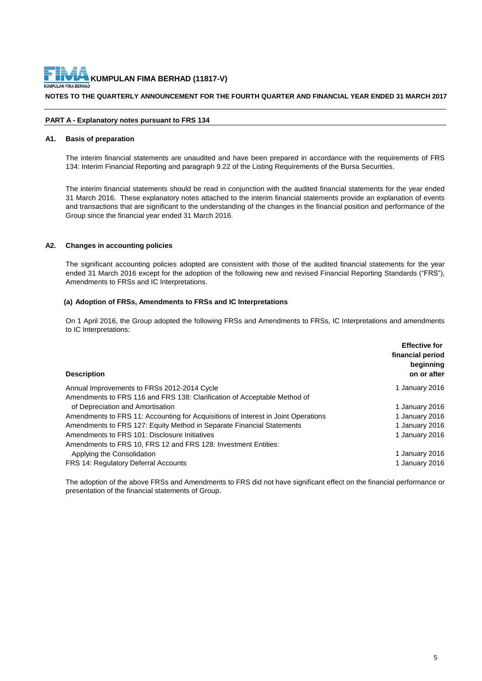**NOTES TO THE QUARTERLY ANNOUNCEMENT FOR THE FOURTH QUARTER AND FINANCIAL YEAR ENDED 31 MARCH 2017**

#### **PART A - Explanatory notes pursuant to FRS 134**

#### **A1. Basis of preparation**

The interim financial statements are unaudited and have been prepared in accordance with the requirements of FRS 134: Interim Financial Reporting and paragraph 9.22 of the Listing Requirements of the Bursa Securities.

The interim financial statements should be read in conjunction with the audited financial statements for the year ended 31 March 2016. These explanatory notes attached to the interim financial statements provide an explanation of events and transactions that are significant to the understanding of the changes in the financial position and performance of the Group since the financial year ended 31 March 2016.

#### **A2. Changes in accounting policies**

The significant accounting policies adopted are consistent with those of the audited financial statements for the year ended 31 March 2016 except for the adoption of the following new and revised Financial Reporting Standards ("FRS"), Amendments to FRSs and IC Interpretations.

#### **(a) Adoption of FRSs, Amendments to FRSs and IC Interpretations**

On 1 April 2016, the Group adopted the following FRSs and Amendments to FRSs, IC Interpretations and amendments to IC Interpretations:

| <b>Description</b>                                                                | <b>Effective for</b><br>financial period<br>beginning<br>on or after |
|-----------------------------------------------------------------------------------|----------------------------------------------------------------------|
| Annual Improvements to FRSs 2012-2014 Cycle                                       | 1 January 2016                                                       |
| Amendments to FRS 116 and FRS 138: Clarification of Acceptable Method of          |                                                                      |
| of Depreciation and Amortisation                                                  | 1 January 2016                                                       |
| Amendments to FRS 11: Accounting for Acquisitions of Interest in Joint Operations | 1 January 2016                                                       |
| Amendments to FRS 127: Equity Method in Separate Financial Statements             | 1 January 2016                                                       |
| Amendments to FRS 101: Disclosure Initiatives                                     | 1 January 2016                                                       |
| Amendments to FRS 10, FRS 12 and FRS 128: Investment Entities:                    |                                                                      |
| Applying the Consolidation                                                        | 1 January 2016                                                       |
| <b>FRS 14: Regulatory Deferral Accounts</b>                                       | 1 January 2016                                                       |

The adoption of the above FRSs and Amendments to FRS did not have significant effect on the financial performance or presentation of the financial statements of Group.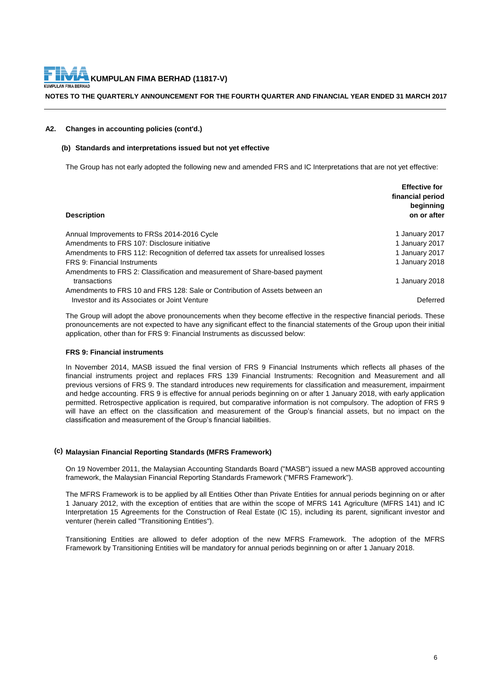#### **NOTES TO THE QUARTERLY ANNOUNCEMENT FOR THE FOURTH QUARTER AND FINANCIAL YEAR ENDED 31 MARCH 2017**

#### **A2. Changes in accounting policies (cont'd.)**

#### **(b) Standards and interpretations issued but not yet effective**

The Group has not early adopted the following new and amended FRS and IC Interpretations that are not yet effective:

| <b>Description</b>                                                              | <b>Effective for</b><br>financial period<br>beginning<br>on or after |
|---------------------------------------------------------------------------------|----------------------------------------------------------------------|
| Annual Improvements to FRSs 2014-2016 Cycle                                     | 1 January 2017                                                       |
| Amendments to FRS 107: Disclosure initiative                                    | 1 January 2017                                                       |
| Amendments to FRS 112: Recognition of deferred tax assets for unrealised losses | 1 January 2017                                                       |
| FRS 9: Financial Instruments                                                    | 1 January 2018                                                       |
| Amendments to FRS 2: Classification and measurement of Share-based payment      |                                                                      |
| transactions                                                                    | 1 January 2018                                                       |
| Amendments to FRS 10 and FRS 128: Sale or Contribution of Assets between an     |                                                                      |
| Investor and its Associates or Joint Venture                                    | Deferred                                                             |

The Group will adopt the above pronouncements when they become effective in the respective financial periods. These pronouncements are not expected to have any significant effect to the financial statements of the Group upon their initial application, other than for FRS 9: Financial Instruments as discussed below:

#### **FRS 9: Financial instruments**

In November 2014, MASB issued the final version of FRS 9 Financial Instruments which reflects all phases of the financial instruments project and replaces FRS 139 Financial Instruments: Recognition and Measurement and all previous versions of FRS 9. The standard introduces new requirements for classification and measurement, impairment and hedge accounting. FRS 9 is effective for annual periods beginning on or after 1 January 2018, with early application permitted. Retrospective application is required, but comparative information is not compulsory. The adoption of FRS 9 will have an effect on the classification and measurement of the Group's financial assets, but no impact on the classification and measurement of the Group's financial liabilities.

#### **(c) Malaysian Financial Reporting Standards (MFRS Framework)**

On 19 November 2011, the Malaysian Accounting Standards Board ("MASB") issued a new MASB approved accounting framework, the Malaysian Financial Reporting Standards Framework ("MFRS Framework").

The MFRS Framework is to be applied by all Entities Other than Private Entities for annual periods beginning on or after 1 January 2012, with the exception of entities that are within the scope of MFRS 141 Agriculture (MFRS 141) and IC Interpretation 15 Agreements for the Construction of Real Estate (IC 15), including its parent, significant investor and venturer (herein called "Transitioning Entities").

Transitioning Entities are allowed to defer adoption of the new MFRS Framework. The adoption of the MFRS Framework by Transitioning Entities will be mandatory for annual periods beginning on or after 1 January 2018.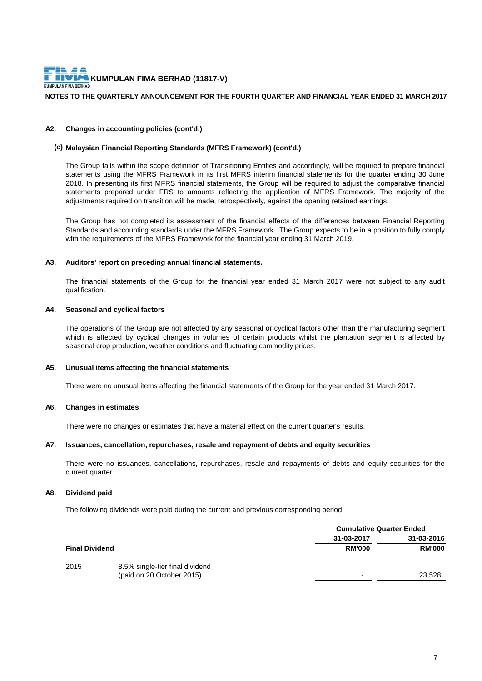

#### **NOTES TO THE QUARTERLY ANNOUNCEMENT FOR THE FOURTH QUARTER AND FINANCIAL YEAR ENDED 31 MARCH 2017**

#### **A2. Changes in accounting policies (cont'd.)**

#### **(c) Malaysian Financial Reporting Standards (MFRS Framework) (cont'd.)**

The Group falls within the scope definition of Transitioning Entities and accordingly, will be required to prepare financial statements using the MFRS Framework in its first MFRS interim financial statements for the quarter ending 30 June 2018. In presenting its first MFRS financial statements, the Group will be required to adjust the comparative financial statements prepared under FRS to amounts reflecting the application of MFRS Framework. The majority of the adjustments required on transition will be made, retrospectively, against the opening retained earnings.

The Group has not completed its assessment of the financial effects of the differences between Financial Reporting Standards and accounting standards under the MFRS Framework. The Group expects to be in a position to fully comply with the requirements of the MFRS Framework for the financial year ending 31 March 2019.

#### **A3. Auditors' report on preceding annual financial statements.**

The financial statements of the Group for the financial year ended 31 March 2017 were not subject to any audit qualification.

#### **A4. Seasonal and cyclical factors**

The operations of the Group are not affected by any seasonal or cyclical factors other than the manufacturing segment which is affected by cyclical changes in volumes of certain products whilst the plantation segment is affected by seasonal crop production, weather conditions and fluctuating commodity prices.

#### **A5. Unusual items affecting the financial statements**

There were no unusual items affecting the financial statements of the Group for the year ended 31 March 2017.

#### **A6. Changes in estimates**

There were no changes or estimates that have a material effect on the current quarter's results.

#### **A7. Issuances, cancellation, repurchases, resale and repayment of debts and equity securities**

There were no issuances, cancellations, repurchases, resale and repayments of debts and equity securities for the current quarter.

#### **A8. Dividend paid**

The following dividends were paid during the current and previous corresponding period:

|                           |                                 | <b>Cumulative Quarter Ended</b> |               |
|---------------------------|---------------------------------|---------------------------------|---------------|
|                           |                                 | 31-03-2017                      | 31-03-2016    |
| <b>Final Dividend</b>     |                                 | <b>RM'000</b>                   | <b>RM'000</b> |
| 2015                      | 8.5% single-tier final dividend |                                 |               |
| (paid on 20 October 2015) |                                 |                                 | 23,528        |
|                           |                                 |                                 |               |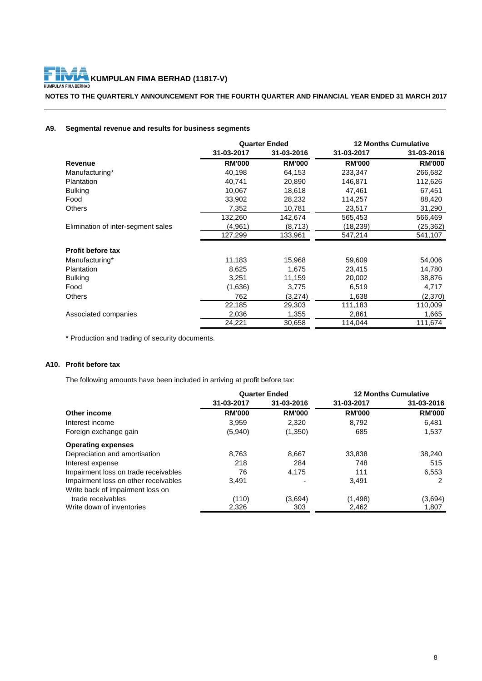F **KUMPULAN FIMA BERHAD (11817-V)**<br>KUMPULAN FIMA BERHAD

**NOTES TO THE QUARTERLY ANNOUNCEMENT FOR THE FOURTH QUARTER AND FINANCIAL YEAR ENDED 31 MARCH 2017**

# **A9. Segmental revenue and results for business segments**

|                                    | <b>Quarter Ended</b> |               |               | <b>12 Months Cumulative</b> |
|------------------------------------|----------------------|---------------|---------------|-----------------------------|
|                                    | 31-03-2017           | 31-03-2016    | 31-03-2017    | 31-03-2016                  |
| Revenue                            | <b>RM'000</b>        | <b>RM'000</b> | <b>RM'000</b> | <b>RM'000</b>               |
| Manufacturing*                     | 40,198               | 64,153        | 233,347       | 266,682                     |
| Plantation                         | 40,741               | 20,890        | 146,871       | 112,626                     |
| <b>Bulking</b>                     | 10,067               | 18,618        | 47,461        | 67,451                      |
| Food                               | 33,902               | 28,232        | 114,257       | 88,420                      |
| <b>Others</b>                      | 7,352                | 10,781        | 23,517        | 31,290                      |
|                                    | 132,260              | 142,674       | 565,453       | 566,469                     |
| Elimination of inter-segment sales | (4,961)              | (8,713)       | (18, 239)     | (25, 362)                   |
|                                    | 127,299              | 133,961       | 547,214       | 541,107                     |
| <b>Profit before tax</b>           |                      |               |               |                             |
| Manufacturing*                     | 11,183               | 15,968        | 59,609        | 54,006                      |
| Plantation                         | 8,625                | 1,675         | 23,415        | 14,780                      |
| <b>Bulking</b>                     | 3,251                | 11,159        | 20,002        | 38,876                      |
| Food                               | (1,636)              | 3,775         | 6,519         | 4,717                       |
| <b>Others</b>                      | 762                  | (3,274)       | 1,638         | (2,370)                     |
|                                    | 22,185               | 29,303        | 111,183       | 110,009                     |
| Associated companies               | 2,036                | 1,355         | 2,861         | 1,665                       |
|                                    | 24,221               | 30,658        | 114,044       | 111,674                     |

\* Production and trading of security documents.

### **A10. Profit before tax**

The following amounts have been included in arriving at profit before tax:

|                                      | <b>Quarter Ended</b> |               |               | <b>12 Months Cumulative</b> |
|--------------------------------------|----------------------|---------------|---------------|-----------------------------|
|                                      | 31-03-2017           | 31-03-2016    | 31-03-2017    | 31-03-2016                  |
| Other income                         | <b>RM'000</b>        | <b>RM'000</b> | <b>RM'000</b> | <b>RM'000</b>               |
| Interest income                      | 3,959                | 2,320         | 8,792         | 6,481                       |
| Foreign exchange gain                | (5,940)              | (1,350)       | 685           | 1,537                       |
| <b>Operating expenses</b>            |                      |               |               |                             |
| Depreciation and amortisation        | 8.763                | 8,667         | 33.838        | 38,240                      |
| Interest expense                     | 218                  | 284           | 748           | 515                         |
| Impairment loss on trade receivables | 76                   | 4.175         | 111           | 6,553                       |
| Impairment loss on other receivables | 3.491                |               | 3.491         | 2                           |
| Write back of impairment loss on     |                      |               |               |                             |
| trade receivables                    | (110)                | (3,694)       | (1, 498)      | (3,694)                     |
| Write down of inventories            | 2,326                | 303           | 2,462         | 1,807                       |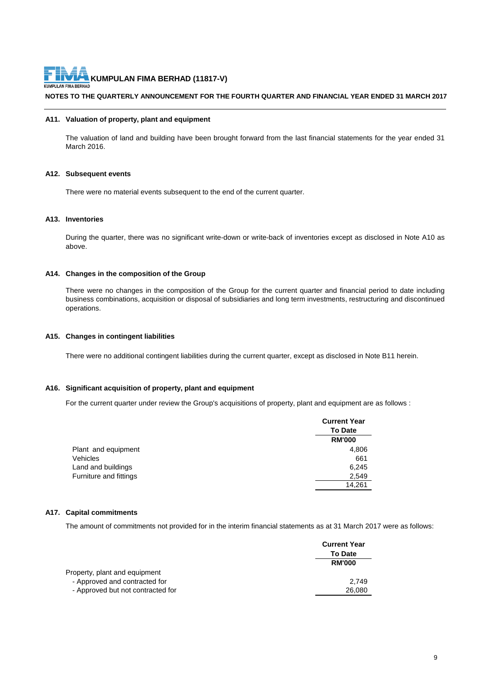**NOTES TO THE QUARTERLY ANNOUNCEMENT FOR THE FOURTH QUARTER AND FINANCIAL YEAR ENDED 31 MARCH 2017**

#### **A11. Valuation of property, plant and equipment**

The valuation of land and building have been brought forward from the last financial statements for the year ended 31 March 2016.

#### **A12. Subsequent events**

There were no material events subsequent to the end of the current quarter.

#### **A13. Inventories**

During the quarter, there was no significant write-down or write-back of inventories except as disclosed in Note A10 as above.

#### **A14. Changes in the composition of the Group**

There were no changes in the composition of the Group for the current quarter and financial period to date including business combinations, acquisition or disposal of subsidiaries and long term investments, restructuring and discontinued operations.

#### **A15. Changes in contingent liabilities**

There were no additional contingent liabilities during the current quarter, except as disclosed in Note B11 herein.

#### **A16. Significant acquisition of property, plant and equipment**

For the current quarter under review the Group's acquisitions of property, plant and equipment are as follows :

|                        | <b>Current Year</b> |
|------------------------|---------------------|
|                        | <b>To Date</b>      |
|                        | <b>RM'000</b>       |
| Plant and equipment    | 4,806               |
| Vehicles               | 661                 |
| Land and buildings     | 6,245               |
| Furniture and fittings | 2,549               |
|                        | 14,261              |

#### **A17. Capital commitments**

The amount of commitments not provided for in the interim financial statements as at 31 March 2017 were as follows:

|                                   | <b>Current Year</b> |
|-----------------------------------|---------------------|
|                                   | <b>To Date</b>      |
|                                   | <b>RM'000</b>       |
| Property, plant and equipment     |                     |
| - Approved and contracted for     | 2.749               |
| - Approved but not contracted for | 26,080              |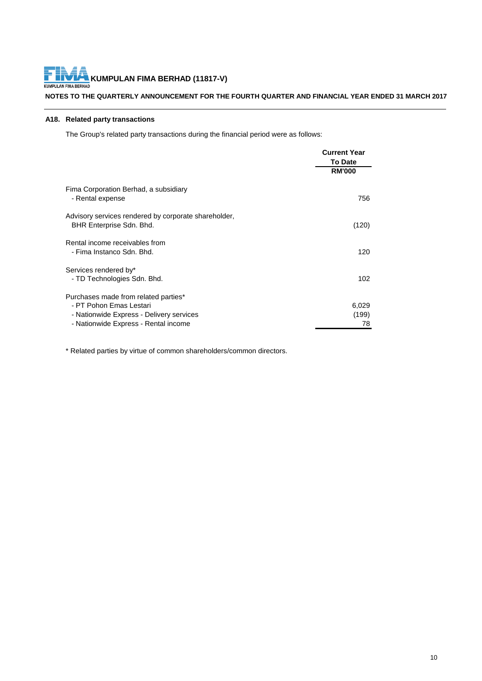**KUMPULAN FIMA BERHAD (11817-V)**<br>LAN FIMA BERHAD KUM

### **NOTES TO THE QUARTERLY ANNOUNCEMENT FOR THE FOURTH QUARTER AND FINANCIAL YEAR ENDED 31 MARCH 2017**

# **A18. Related party transactions**

The Group's related party transactions during the financial period were as follows:

|                                                                                                                                                     | <b>Current Year</b>  |
|-----------------------------------------------------------------------------------------------------------------------------------------------------|----------------------|
|                                                                                                                                                     | <b>To Date</b>       |
|                                                                                                                                                     | <b>RM'000</b>        |
| Fima Corporation Berhad, a subsidiary<br>- Rental expense                                                                                           | 756                  |
| Advisory services rendered by corporate shareholder,<br>BHR Enterprise Sdn. Bhd.                                                                    | (120)                |
| Rental income receivables from<br>- Fima Instanco Sdn. Bhd.                                                                                         | 120                  |
| Services rendered by*<br>- TD Technologies Sdn. Bhd.                                                                                                | 102                  |
| Purchases made from related parties*<br>- PT Pohon Emas Lestari<br>- Nationwide Express - Delivery services<br>- Nationwide Express - Rental income | 6,029<br>(199)<br>78 |

\* Related parties by virtue of common shareholders/common directors.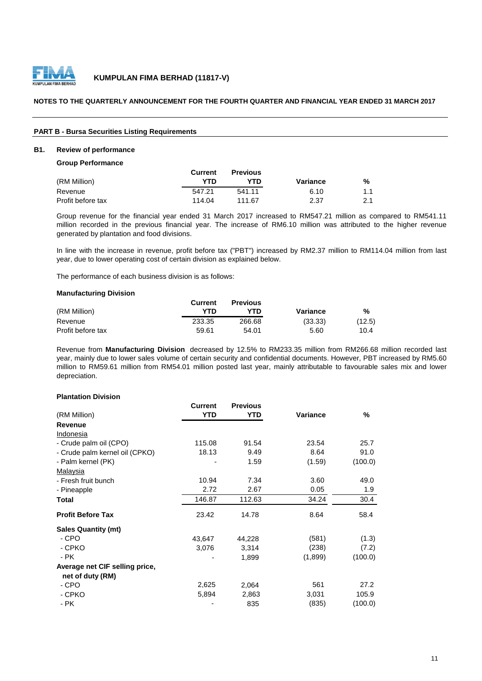

#### **NOTES TO THE QUARTERLY ANNOUNCEMENT FOR THE FOURTH QUARTER AND FINANCIAL YEAR ENDED 31 MARCH 2017**

#### **PART B - Bursa Securities Listing Requirements**

#### **B1. Review of performance**

**Group Performance**

|                   | Current | <b>Previous</b> |          |     |
|-------------------|---------|-----------------|----------|-----|
| (RM Million)      | YTN     | YTD             | Variance | %   |
| Revenue           | 547.21  | 541.11          | 6.10     | 1.1 |
| Profit before tax | 114.04  | 111.67          | 2.37     | 2.1 |

Group revenue for the financial year ended 31 March 2017 increased to RM547.21 million as compared to RM541.11 million recorded in the previous financial year. The increase of RM6.10 million was attributed to the higher revenue generated by plantation and food divisions.

In line with the increase in revenue, profit before tax ("PBT") increased by RM2.37 million to RM114.04 million from last year, due to lower operating cost of certain division as explained below.

The performance of each business division is as follows:

#### **Manufacturing Division**

|                   | Current | <b>Previous</b> |          |        |
|-------------------|---------|-----------------|----------|--------|
| (RM Million)      | YTN     | YTN             | Variance | %      |
| Revenue           | 233.35  | 266.68          | (33.33)  | (12.5) |
| Profit before tax | 59.61   | 54.01           | 5.60     | 10.4   |

Revenue from **Manufacturing Division** decreased by 12.5% to RM233.35 million from RM266.68 million recorded last year, mainly due to lower sales volume of certain security and confidential documents. However, PBT increased by RM5.60 million to RM59.61 million from RM54.01 million posted last year, mainly attributable to favourable sales mix and lower depreciation.

#### **Plantation Division**

|                                | Current    | <b>Previous</b> |          |         |
|--------------------------------|------------|-----------------|----------|---------|
| (RM Million)                   | <b>YTD</b> | YTD             | Variance | %       |
| <b>Revenue</b>                 |            |                 |          |         |
| Indonesia                      |            |                 |          |         |
| - Crude palm oil (CPO)         | 115.08     | 91.54           | 23.54    | 25.7    |
| - Crude palm kernel oil (CPKO) | 18.13      | 9.49            | 8.64     | 91.0    |
| - Palm kernel (PK)             |            | 1.59            | (1.59)   | (100.0) |
| Malaysia                       |            |                 |          |         |
| - Fresh fruit bunch            | 10.94      | 7.34            | 3.60     | 49.0    |
| - Pineapple                    | 2.72       | 2.67            | 0.05     | 1.9     |
| Total                          | 146.87     | 112.63          | 34.24    | 30.4    |
| <b>Profit Before Tax</b>       | 23.42      | 14.78           | 8.64     | 58.4    |
| <b>Sales Quantity (mt)</b>     |            |                 |          |         |
| - CPO                          | 43,647     | 44,228          | (581)    | (1.3)   |
| - CPKO                         | 3,076      | 3,314           | (238)    | (7.2)   |
| - PK                           |            | 1,899           | (1,899)  | (100.0) |
| Average net CIF selling price, |            |                 |          |         |
| net of duty (RM)<br>- CPO      | 2,625      |                 | 561      | 27.2    |
|                                |            | 2,064           |          |         |
| - CPKO                         | 5,894      | 2,863           | 3,031    | 105.9   |
| - PK                           |            | 835             | (835)    | (100.0) |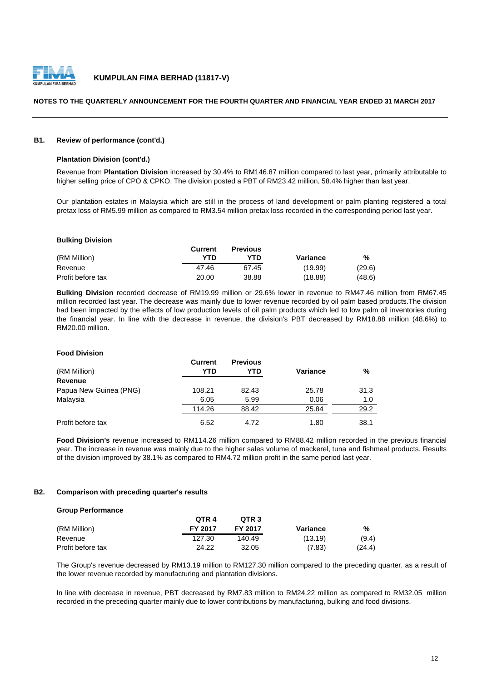

#### **NOTES TO THE QUARTERLY ANNOUNCEMENT FOR THE FOURTH QUARTER AND FINANCIAL YEAR ENDED 31 MARCH 2017**

#### **B1. Review of performance (cont'd.)**

#### **Plantation Division (cont'd.)**

Revenue from **Plantation Division** increased by 30.4% to RM146.87 million compared to last year, primarily attributable to higher selling price of CPO & CPKO. The division posted a PBT of RM23.42 million, 58.4% higher than last year.

Our plantation estates in Malaysia which are still in the process of land development or palm planting registered a total pretax loss of RM5.99 million as compared to RM3.54 million pretax loss recorded in the corresponding period last year.

#### **Bulking Division**

|                   | Current | <b>Previous</b> |          |        |
|-------------------|---------|-----------------|----------|--------|
| (RM Million)      | YTN     | YTD             | Variance | %      |
| Revenue           | 47.46   | 67.45           | (19.99)  | (29.6) |
| Profit before tax | 20.00   | 38.88           | (18.88)  | (48.6) |

**Bulking Division** recorded decrease of RM19.99 million or 29.6% lower in revenue to RM47.46 million from RM67.45 million recorded last year. The decrease was mainly due to lower revenue recorded by oil palm based products.The division had been impacted by the effects of low production levels of oil palm products which led to low palm oil inventories during the financial year. In line with the decrease in revenue, the division's PBT decreased by RM18.88 million (48.6%) to RM20.00 million.

#### **Food Division**

| (RM Million)           | <b>Current</b><br>YTD | <b>Previous</b><br>YTD | Variance | %    |
|------------------------|-----------------------|------------------------|----------|------|
| <b>Revenue</b>         |                       |                        |          |      |
| Papua New Guinea (PNG) | 108.21                | 82.43                  | 25.78    | 31.3 |
| Malaysia               | 6.05                  | 5.99                   | 0.06     | 1.0  |
|                        | 114.26                | 88.42                  | 25.84    | 29.2 |
| Profit before tax      | 6.52                  | 4.72                   | 1.80     | 38.1 |

**Food Division's** revenue increased to RM114.26 million compared to RM88.42 million recorded in the previous financial year. The increase in revenue was mainly due to the higher sales volume of mackerel, tuna and fishmeal products. Results of the division improved by 38.1% as compared to RM4.72 million profit in the same period last year.

#### **B2. Comparison with preceding quarter's results**

#### **Group Performance**

|                   | OTR 4          | OTR <sub>3</sub> |          |        |
|-------------------|----------------|------------------|----------|--------|
| (RM Million)      | <b>FY 2017</b> | <b>FY 2017</b>   | Variance | %      |
| Revenue           | 127.30         | 140.49           | (13.19)  | (9.4)  |
| Profit before tax | 24.22          | 32.05            | (7.83)   | (24.4) |

The Group's revenue decreased by RM13.19 million to RM127.30 million compared to the preceding quarter, as a result of the lower revenue recorded by manufacturing and plantation divisions.

In line with decrease in revenue, PBT decreased by RM7.83 million to RM24.22 million as compared to RM32.05 million recorded in the preceding quarter mainly due to lower contributions by manufacturing, bulking and food divisions.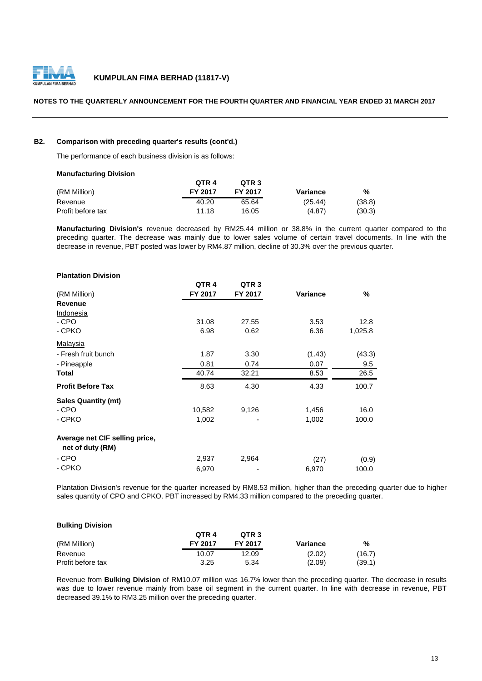

#### **NOTES TO THE QUARTERLY ANNOUNCEMENT FOR THE FOURTH QUARTER AND FINANCIAL YEAR ENDED 31 MARCH 2017**

### **B2. Comparison with preceding quarter's results (cont'd.)**

The performance of each business division is as follows:

#### **Manufacturing Division**

|                   | OTR <sub>4</sub> | OTR <sub>3</sub> |          |        |
|-------------------|------------------|------------------|----------|--------|
| (RM Million)      | FY 2017          | FY 2017          | Variance | %      |
| Revenue           | 40.20            | 65.64            | (25.44)  | (38.8) |
| Profit before tax | 11.18            | 16.05            | (4.87)   | (30.3) |

**Manufacturing Division's** revenue decreased by RM25.44 million or 38.8% in the current quarter compared to the preceding quarter. The decrease was mainly due to lower sales volume of certain travel documents. In line with the decrease in revenue, PBT posted was lower by RM4.87 million, decline of 30.3% over the previous quarter.

| <b>Plantation Division</b>                         |                  |                  |                 |         |
|----------------------------------------------------|------------------|------------------|-----------------|---------|
|                                                    | QTR <sub>4</sub> | QTR <sub>3</sub> |                 |         |
| (RM Million)                                       | FY 2017          | FY 2017          | <b>Variance</b> | %       |
| <b>Revenue</b>                                     |                  |                  |                 |         |
| Indonesia                                          |                  |                  |                 |         |
| - CPO                                              | 31.08            | 27.55            | 3.53            | 12.8    |
| - CPKO                                             | 6.98             | 0.62             | 6.36            | 1,025.8 |
| Malaysia                                           |                  |                  |                 |         |
| - Fresh fruit bunch                                | 1.87             | 3.30             | (1.43)          | (43.3)  |
| - Pineapple                                        | 0.81             | 0.74             | 0.07            | 9.5     |
| Total                                              | 40.74            | 32.21            | 8.53            | 26.5    |
| <b>Profit Before Tax</b>                           | 8.63             | 4.30             | 4.33            | 100.7   |
| <b>Sales Quantity (mt)</b>                         |                  |                  |                 |         |
| - CPO                                              | 10,582           | 9,126            | 1,456           | 16.0    |
| - CPKO                                             | 1,002            |                  | 1,002           | 100.0   |
| Average net CIF selling price,<br>net of duty (RM) |                  |                  |                 |         |
| - CPO                                              | 2,937            | 2,964            | (27)            | (0.9)   |
| - CPKO                                             | 6,970            |                  | 6,970           | 100.0   |

Plantation Division's revenue for the quarter increased by RM8.53 million, higher than the preceding quarter due to higher sales quantity of CPO and CPKO. PBT increased by RM4.33 million compared to the preceding quarter.

| <b>Bulking Division</b> |                  |                  |          |        |
|-------------------------|------------------|------------------|----------|--------|
|                         | QTR <sub>4</sub> | QTR <sub>3</sub> |          |        |
| (RM Million)            | <b>FY 2017</b>   | <b>FY 2017</b>   | Variance | %      |
| Revenue                 | 10.07            | 12.09            | (2.02)   | (16.7) |
| Profit before tax       | 3.25             | 5.34             | (2.09)   | (39.1) |

Revenue from **Bulking Division** of RM10.07 million was 16.7% lower than the preceding quarter. The decrease in results was due to lower revenue mainly from base oil segment in the current quarter. In line with decrease in revenue, PBT decreased 39.1% to RM3.25 million over the preceding quarter.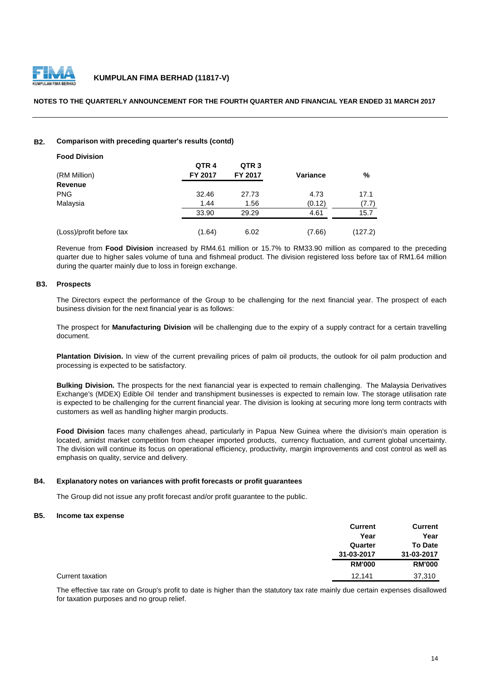

#### **NOTES TO THE QUARTERLY ANNOUNCEMENT FOR THE FOURTH QUARTER AND FINANCIAL YEAR ENDED 31 MARCH 2017**

#### **B2. Comparison with preceding quarter's results (contd)**

| <b>Food Division</b>     |                  |                  |          |         |
|--------------------------|------------------|------------------|----------|---------|
|                          | QTR <sub>4</sub> | QTR <sub>3</sub> |          |         |
| (RM Million)             | <b>FY 2017</b>   | FY 2017          | Variance | %       |
| Revenue                  |                  |                  |          |         |
| <b>PNG</b>               | 32.46            | 27.73            | 4.73     | 17.1    |
| Malaysia                 | 1.44             | 1.56             | (0.12)   | (7.7)   |
|                          | 33.90            | 29.29            | 4.61     | 15.7    |
| (Loss)/profit before tax | (1.64)           | 6.02             | (7.66)   | (127.2) |

Revenue from **Food Division** increased by RM4.61 million or 15.7% to RM33.90 million as compared to the preceding quarter due to higher sales volume of tuna and fishmeal product. The division registered loss before tax of RM1.64 million during the quarter mainly due to loss in foreign exchange.

#### **B3. Prospects**

The Directors expect the performance of the Group to be challenging for the next financial year. The prospect of each business division for the next financial year is as follows:

The prospect for **Manufacturing Division** will be challenging due to the expiry of a supply contract for a certain travelling document.

**Plantation Division.** In view of the current prevailing prices of palm oil products, the outlook for oil palm production and processing is expected to be satisfactory.

**Bulking Division.** The prospects for the next fianancial year is expected to remain challenging. The Malaysia Derivatives Exchange's (MDEX) Edible Oil tender and transhipment businesses is expected to remain low. The storage utilisation rate is expected to be challenging for the current financial year. The division is looking at securing more long term contracts with customers as well as handling higher margin products.

**Food Division** faces many challenges ahead, particularly in Papua New Guinea where the division's main operation is located, amidst market competition from cheaper imported products, currency fluctuation, and current global uncertainty. The division will continue its focus on operational efficiency, productivity, margin improvements and cost control as well as emphasis on quality, service and delivery.

#### **B4. Explanatory notes on variances with profit forecasts or profit guarantees**

The Group did not issue any profit forecast and/or profit guarantee to the public.

#### **B5. Income tax expense**

|                  | <b>Current</b> | <b>Current</b> |
|------------------|----------------|----------------|
|                  | Year           | Year           |
|                  | Quarter        | <b>To Date</b> |
|                  | 31-03-2017     | 31-03-2017     |
|                  | <b>RM'000</b>  | <b>RM'000</b>  |
| Current taxation | 12,141         | 37,310         |

The effective tax rate on Group's profit to date is higher than the statutory tax rate mainly due certain expenses disallowed for taxation purposes and no group relief.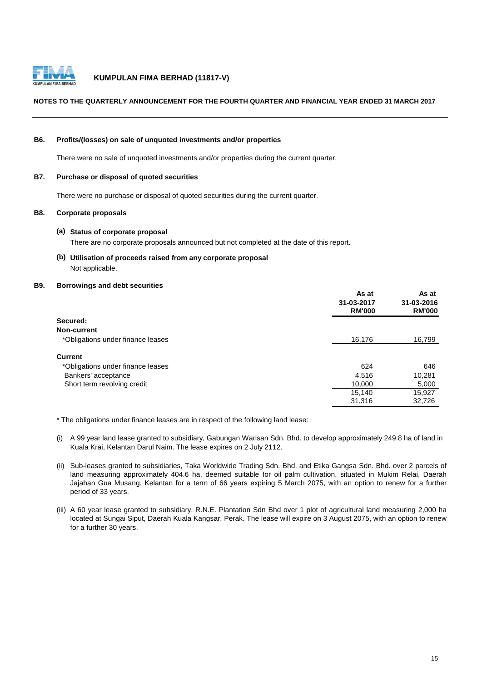

#### **NOTES TO THE QUARTERLY ANNOUNCEMENT FOR THE FOURTH QUARTER AND FINANCIAL YEAR ENDED 31 MARCH 2017**

#### **B6. Profits/(losses) on sale of unquoted investments and/or properties**

There were no sale of unquoted investments and/or properties during the current quarter.

#### **B7. Purchase or disposal of quoted securities**

There were no purchase or disposal of quoted securities during the current quarter.

#### **B8. Corporate proposals**

#### **(a) Status of corporate proposal**

There are no corporate proposals announced but not completed at the date of this report.

**(b) Utilisation of proceeds raised from any corporate proposal** Not applicable.

#### **B9. Borrowings and debt securities**

|                                   | As at<br>31-03-2017<br><b>RM'000</b> | As at<br>31-03-2016<br><b>RM'000</b> |
|-----------------------------------|--------------------------------------|--------------------------------------|
| Secured:                          |                                      |                                      |
| Non-current                       |                                      |                                      |
| *Obligations under finance leases | 16,176                               | 16,799                               |
| <b>Current</b>                    |                                      |                                      |
| *Obligations under finance leases | 624                                  | 646                                  |
| Bankers' acceptance               | 4,516                                | 10,281                               |
| Short term revolving credit       | 10,000                               | 5,000                                |
|                                   | 15,140                               | 15,927                               |
|                                   | 31,316                               | 32,726                               |

\* The obligations under finance leases are in respect of the following land lease:

- (i) A 99 year land lease granted to subsidiary, Gabungan Warisan Sdn. Bhd. to develop approximately 249.8 ha of land in Kuala Krai, Kelantan Darul Naim. The lease expires on 2 July 2112.
- (ii) Sub-leases granted to subsidiaries, Taka Worldwide Trading Sdn. Bhd. and Etika Gangsa Sdn. Bhd. over 2 parcels of land measuring approximately 404.6 ha, deemed suitable for oil palm cultivation, situated in Mukim Relai, Daerah Jajahan Gua Musang, Kelantan for a term of 66 years expiring 5 March 2075, with an option to renew for a further period of 33 years.
- (iii) A 60 year lease granted to subsidiary, R.N.E. Plantation Sdn Bhd over 1 plot of agricultural land measuring 2,000 ha located at Sungai Siput, Daerah Kuala Kangsar, Perak. The lease will expire on 3 August 2075, with an option to renew for a further 30 years.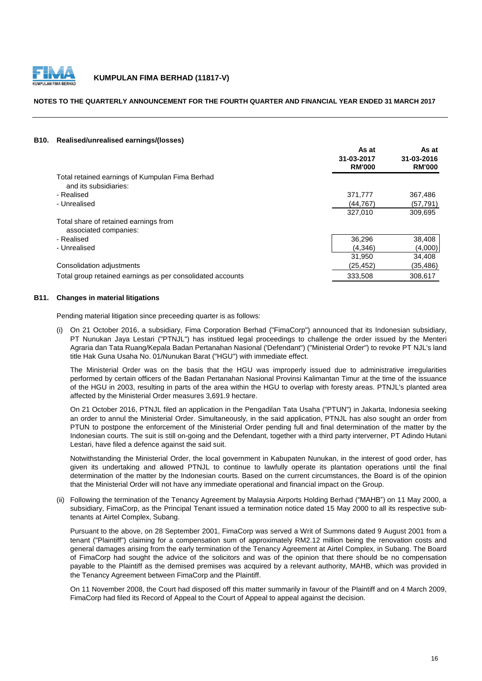

### **NOTES TO THE QUARTERLY ANNOUNCEMENT FOR THE FOURTH QUARTER AND FINANCIAL YEAR ENDED 31 MARCH 2017**

#### **B10. Realised/unrealised earnings/(losses)**

|                                                                          | As at<br>31-03-2017<br><b>RM'000</b> | As at<br>31-03-2016<br><b>RM'000</b> |
|--------------------------------------------------------------------------|--------------------------------------|--------------------------------------|
| Total retained earnings of Kumpulan Fima Berhad<br>and its subsidiaries: |                                      |                                      |
| - Realised                                                               | 371,777                              | 367,486                              |
| - Unrealised                                                             | (44, 767)                            | (57, 791)                            |
|                                                                          | 327,010                              | 309,695                              |
| Total share of retained earnings from<br>associated companies:           |                                      |                                      |
| - Realised                                                               | 36,296                               | 38,408                               |
| - Unrealised                                                             | (4,346)                              | (4,000)                              |
|                                                                          | 31,950                               | 34,408                               |
| Consolidation adjustments                                                | (25, 452)                            | (35,486)                             |
| Total group retained earnings as per consolidated accounts               | 333,508                              | 308,617                              |

#### **B11. Changes in material litigations**

Pending material litigation since preceeding quarter is as follows:

(i) On 21 October 2016, a subsidiary, Fima Corporation Berhad ("FimaCorp") announced that its Indonesian subsidiary, PT Nunukan Jaya Lestari ("PTNJL") has institued legal proceedings to challenge the order issued by the Menteri Agraria dan Tata Ruang/Kepala Badan Pertanahan Nasional ('Defendant") ("Ministerial Order") to revoke PT NJL's land title Hak Guna Usaha No. 01/Nunukan Barat ("HGU") with immediate effect.

The Ministerial Order was on the basis that the HGU was improperly issued due to administrative irregularities performed by certain officers of the Badan Pertanahan Nasional Provinsi Kalimantan Timur at the time of the issuance of the HGU in 2003, resulting in parts of the area within the HGU to overlap with foresty areas. PTNJL's planted area affected by the Ministerial Order measures 3,691.9 hectare.

On 21 October 2016, PTNJL filed an application in the Pengadilan Tata Usaha ("PTUN") in Jakarta, Indonesia seeking an order to annul the Ministerial Order. Simultaneously, in the said application, PTNJL has also sought an order from PTUN to postpone the enforcement of the Ministerial Order pending full and final determination of the matter by the Indonesian courts. The suit is still on-going and the Defendant, together with a third party interverner, PT Adindo Hutani Lestari, have filed a defence against the said suit.

Notwithstanding the Ministerial Order, the local government in Kabupaten Nunukan, in the interest of good order, has given its undertaking and allowed PTNJL to continue to lawfully operate its plantation operations until the final determination of the matter by the Indonesian courts. Based on the current circumstances, the Board is of the opinion that the Ministerial Order will not have any immediate operational and financial impact on the Group.

(ii) Following the termination of the Tenancy Agreement by Malaysia Airports Holding Berhad ("MAHB") on 11 May 2000, a subsidiary, FimaCorp, as the Principal Tenant issued a termination notice dated 15 May 2000 to all its respective subtenants at Airtel Complex, Subang.

Pursuant to the above, on 28 September 2001, FimaCorp was served a Writ of Summons dated 9 August 2001 from a tenant ("Plaintiff") claiming for a compensation sum of approximately RM2.12 million being the renovation costs and general damages arising from the early termination of the Tenancy Agreement at Airtel Complex, in Subang. The Board of FimaCorp had sought the advice of the solicitors and was of the opinion that there should be no compensation payable to the Plaintiff as the demised premises was acquired by a relevant authority, MAHB, which was provided in the Tenancy Agreement between FimaCorp and the Plaintiff.

On 11 November 2008, the Court had disposed off this matter summarily in favour of the Plaintiff and on 4 March 2009, FimaCorp had filed its Record of Appeal to the Court of Appeal to appeal against the decision.